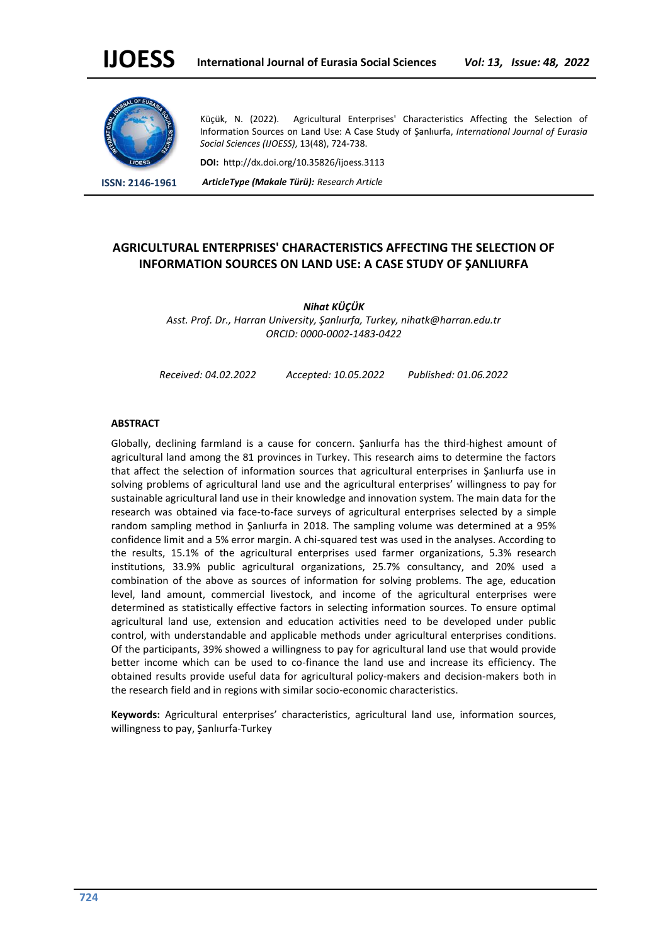

Küçük, N. (2022). Agricultural Enterprises' Characteristics Affecting the Selection of Information Sources on Land Use: A Case Study of Şanlıurfa, *International Journal of Eurasia Social Sciences (IJOESS)*, 13(48), 724-738.

**DOI:** http://dx.doi.org/10.35826/ijoess.3113

**ISSN: 2146-1961** *ArticleType (Makale Türü): Research Article*

# **AGRICULTURAL ENTERPRISES' CHARACTERISTICS AFFECTING THE SELECTION OF INFORMATION SOURCES ON LAND USE: A CASE STUDY OF ŞANLIURFA**

*Nihat KÜÇÜK Asst. Prof. Dr., Harran University, Şanlıurfa, Turkey, nihatk@harran.edu.tr ORCID: 0000-0002-1483-0422*

*Received: 04.02.2022 Accepted: 10.05.2022 Published: 01.06.2022*

#### **ABSTRACT**

Globally, declining farmland is a cause for concern. Şanlıurfa has the third-highest amount of agricultural land among the 81 provinces in Turkey. This research aims to determine the factors that affect the selection of information sources that agricultural enterprises in Şanlıurfa use in solving problems of agricultural land use and the agricultural enterprises' willingness to pay for sustainable agricultural land use in their knowledge and innovation system. The main data for the research was obtained via face-to-face surveys of agricultural enterprises selected by a simple random sampling method in Şanlıurfa in 2018. The sampling volume was determined at a 95% confidence limit and a 5% error margin. A chi-squared test was used in the analyses. According to the results, 15.1% of the agricultural enterprises used farmer organizations, 5.3% research institutions, 33.9% public agricultural organizations, 25.7% consultancy, and 20% used a combination of the above as sources of information for solving problems. The age, education level, land amount, commercial livestock, and income of the agricultural enterprises were determined as statistically effective factors in selecting information sources. To ensure optimal agricultural land use, extension and education activities need to be developed under public control, with understandable and applicable methods under agricultural enterprises conditions. Of the participants, 39% showed a willingness to pay for agricultural land use that would provide better income which can be used to co-finance the land use and increase its efficiency. The obtained results provide useful data for agricultural policy-makers and decision-makers both in the research field and in regions with similar socio-economic characteristics.

**Keywords:** Agricultural enterprises' characteristics, agricultural land use, information sources, willingness to pay, Şanlıurfa-Turkey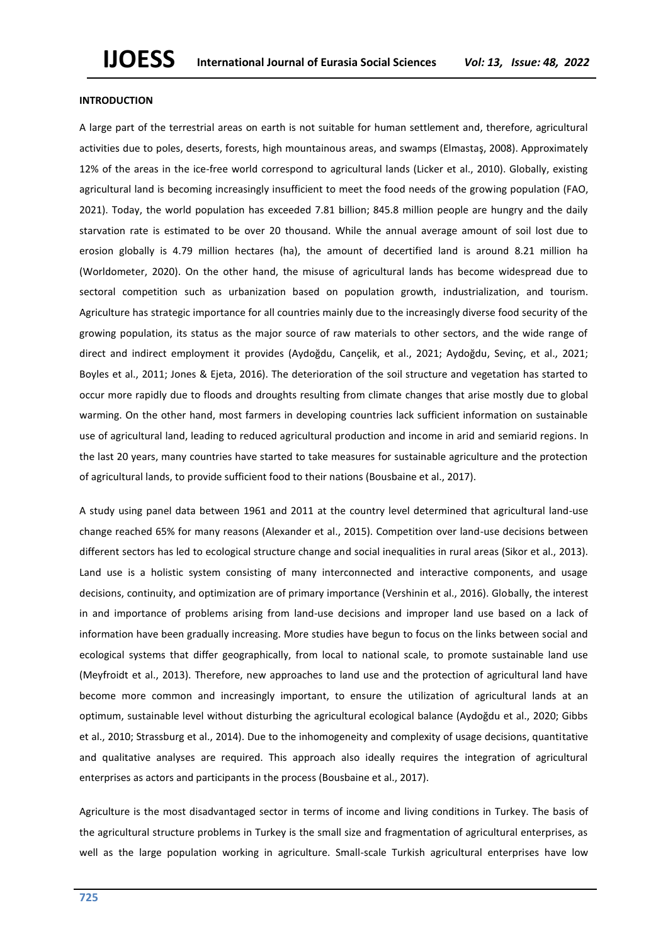### **INTRODUCTION**

A large part of the terrestrial areas on earth is not suitable for human settlement and, therefore, agricultural activities due to poles, deserts, forests, high mountainous areas, and swamps (Elmastaş, 2008). Approximately 12% of the areas in the ice-free world correspond to agricultural lands (Licker et al., 2010). Globally, existing agricultural land is becoming increasingly insufficient to meet the food needs of the growing population (FAO, 2021). Today, the world population has exceeded 7.81 billion; 845.8 million people are hungry and the daily starvation rate is estimated to be over 20 thousand. While the annual average amount of soil lost due to erosion globally is 4.79 million hectares (ha), the amount of decertified land is around 8.21 million ha (Worldometer, 2020). On the other hand, the misuse of agricultural lands has become widespread due to sectoral competition such as urbanization based on population growth, industrialization, and tourism. Agriculture has strategic importance for all countries mainly due to the increasingly diverse food security of the growing population, its status as the major source of raw materials to other sectors, and the wide range of direct and indirect employment it provides (Aydoğdu, Cançelik, et al., 2021; Aydoğdu, Sevinç, et al., 2021; Boyles et al., 2011; Jones & Ejeta, 2016). The deterioration of the soil structure and vegetation has started to occur more rapidly due to floods and droughts resulting from climate changes that arise mostly due to global warming. On the other hand, most farmers in developing countries lack sufficient information on sustainable use of agricultural land, leading to reduced agricultural production and income in arid and semiarid regions. In the last 20 years, many countries have started to take measures for sustainable agriculture and the protection of agricultural lands, to provide sufficient food to their nations (Bousbaine et al., 2017).

A study using panel data between 1961 and 2011 at the country level determined that agricultural land-use change reached 65% for many reasons (Alexander et al., 2015). Competition over land-use decisions between different sectors has led to ecological structure change and social inequalities in rural areas (Sikor et al., 2013). Land use is a holistic system consisting of many interconnected and interactive components, and usage decisions, continuity, and optimization are of primary importance (Vershinin et al., 2016). Globally, the interest in and importance of problems arising from land-use decisions and improper land use based on a lack of information have been gradually increasing. More studies have begun to focus on the links between social and ecological systems that differ geographically, from local to national scale, to promote sustainable land use (Meyfroidt et al., 2013). Therefore, new approaches to land use and the protection of agricultural land have become more common and increasingly important, to ensure the utilization of agricultural lands at an optimum, sustainable level without disturbing the agricultural ecological balance (Aydoğdu et al., 2020; Gibbs et al., 2010; Strassburg et al., 2014). Due to the inhomogeneity and complexity of usage decisions, quantitative and qualitative analyses are required. This approach also ideally requires the integration of agricultural enterprises as actors and participants in the process (Bousbaine et al., 2017).

Agriculture is the most disadvantaged sector in terms of income and living conditions in Turkey. The basis of the agricultural structure problems in Turkey is the small size and fragmentation of agricultural enterprises, as well as the large population working in agriculture. Small-scale Turkish agricultural enterprises have low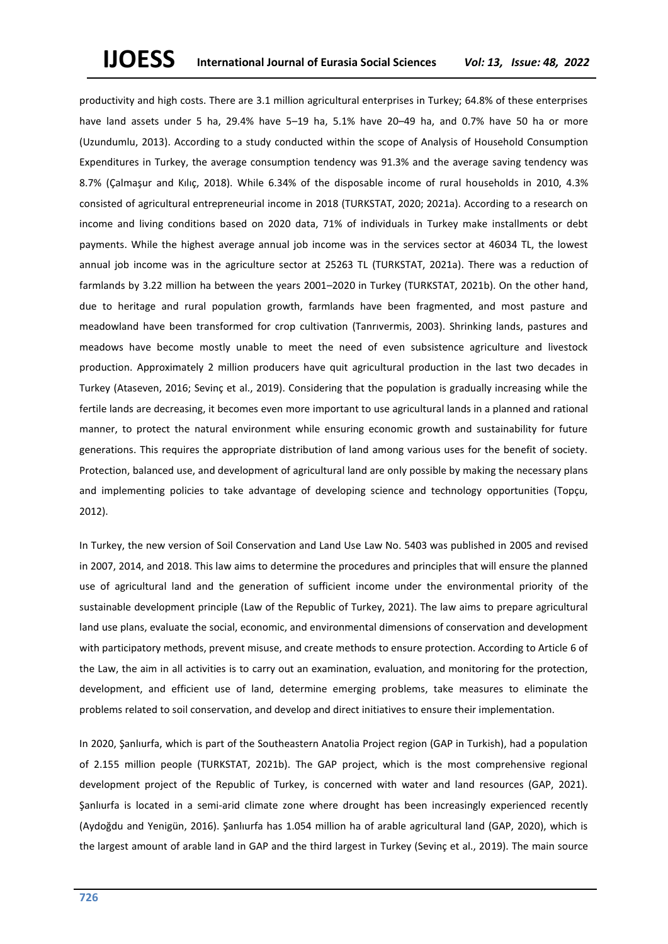productivity and high costs. There are 3.1 million agricultural enterprises in Turkey; 64.8% of these enterprises have land assets under 5 ha, 29.4% have 5–19 ha, 5.1% have 20–49 ha, and 0.7% have 50 ha or more (Uzundumlu, 2013). According to a study conducted within the scope of Analysis of Household Consumption Expenditures in Turkey, the average consumption tendency was 91.3% and the average saving tendency was 8.7% (Çalmaşur and Kılıç, 2018). While 6.34% of the disposable income of rural households in 2010, 4.3% consisted of agricultural entrepreneurial income in 2018 (TURKSTAT, 2020; 2021a). According to a research on income and living conditions based on 2020 data, 71% of individuals in Turkey make installments or debt payments. While the highest average annual job income was in the services sector at 46034 TL, the lowest annual job income was in the agriculture sector at 25263 TL (TURKSTAT, 2021a). There was a reduction of farmlands by 3.22 million ha between the years 2001–2020 in Turkey (TURKSTAT, 2021b). On the other hand, due to heritage and rural population growth, farmlands have been fragmented, and most pasture and meadowland have been transformed for crop cultivation (Tanrıvermis, 2003). Shrinking lands, pastures and meadows have become mostly unable to meet the need of even subsistence agriculture and livestock production. Approximately 2 million producers have quit agricultural production in the last two decades in Turkey (Ataseven, 2016; Sevinç et al., 2019). Considering that the population is gradually increasing while the fertile lands are decreasing, it becomes even more important to use agricultural lands in a planned and rational manner, to protect the natural environment while ensuring economic growth and sustainability for future generations. This requires the appropriate distribution of land among various uses for the benefit of society. Protection, balanced use, and development of agricultural land are only possible by making the necessary plans and implementing policies to take advantage of developing science and technology opportunities (Topçu, 2012).

In Turkey, the new version of Soil Conservation and Land Use Law No. 5403 was published in 2005 and revised in 2007, 2014, and 2018. This law aims to determine the procedures and principles that will ensure the planned use of agricultural land and the generation of sufficient income under the environmental priority of the sustainable development principle (Law of the Republic of Turkey, 2021). The law aims to prepare agricultural land use plans, evaluate the social, economic, and environmental dimensions of conservation and development with participatory methods, prevent misuse, and create methods to ensure protection. According to Article 6 of the Law, the aim in all activities is to carry out an examination, evaluation, and monitoring for the protection, development, and efficient use of land, determine emerging problems, take measures to eliminate the problems related to soil conservation, and develop and direct initiatives to ensure their implementation.

In 2020, Şanlıurfa, which is part of the Southeastern Anatolia Project region (GAP in Turkish), had a population of 2.155 million people (TURKSTAT, 2021b). The GAP project, which is the most comprehensive regional development project of the Republic of Turkey, is concerned with water and land resources (GAP, 2021). Sanliurfa is located in a semi-arid climate zone where drought has been increasingly experienced recently (Aydoğdu and Yenigün, 2016). Şanlıurfa has 1.054 million ha of arable agricultural land (GAP, 2020), which is the largest amount of arable land in GAP and the third largest in Turkey (Sevinç et al., 2019). The main source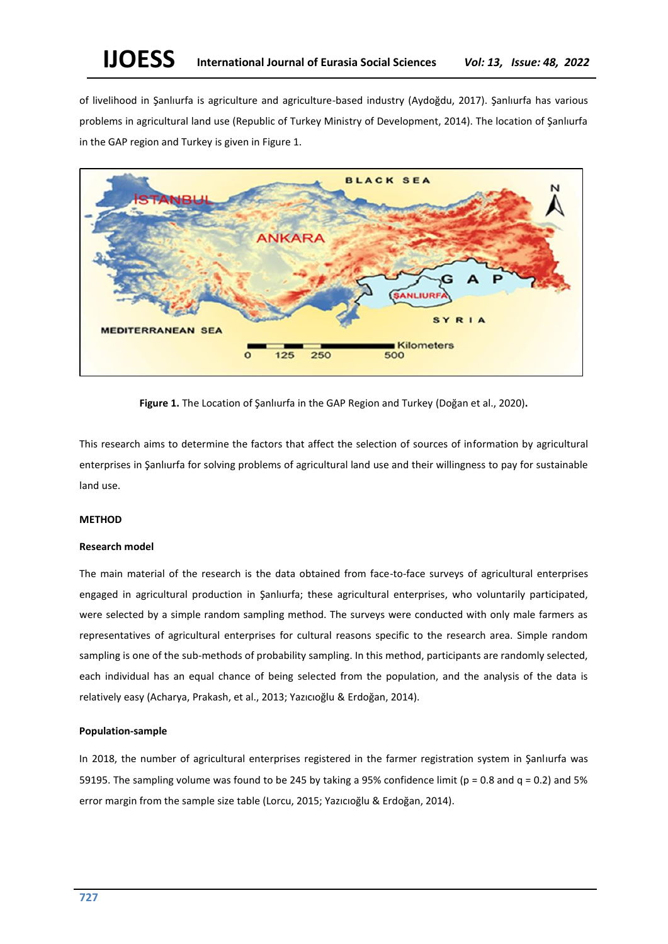of livelihood in Şanlıurfa is agriculture and agriculture-based industry (Aydoğdu, 2017). Şanlıurfa has various problems in agricultural land use (Republic of Turkey Ministry of Development, 2014). The location of Şanlıurfa in the GAP region and Turkey is given in Figure 1.



**Figure 1.** The Location of Şanlıurfa in the GAP Region and Turkey (Doğan et al., 2020)**.**

This research aims to determine the factors that affect the selection of sources of information by agricultural enterprises in Şanlıurfa for solving problems of agricultural land use and their willingness to pay for sustainable land use.

## **METHOD**

## **Research model**

The main material of the research is the data obtained from face-to-face surveys of agricultural enterprises engaged in agricultural production in Şanlıurfa; these agricultural enterprises, who voluntarily participated, were selected by a simple random sampling method. The surveys were conducted with only male farmers as representatives of agricultural enterprises for cultural reasons specific to the research area. Simple random sampling is one of the sub-methods of probability sampling. In this method, participants are randomly selected, each individual has an equal chance of being selected from the population, and the analysis of the data is relatively easy (Acharya, Prakash, et al., 2013; Yazıcıoğlu & Erdoğan, 2014).

## **Population-sample**

In 2018, the number of agricultural enterprises registered in the farmer registration system in Şanlıurfa was 59195. The sampling volume was found to be 245 by taking a 95% confidence limit ( $p = 0.8$  and  $q = 0.2$ ) and 5% error margin from the sample size table (Lorcu, 2015; Yazıcıoğlu & Erdoğan, 2014).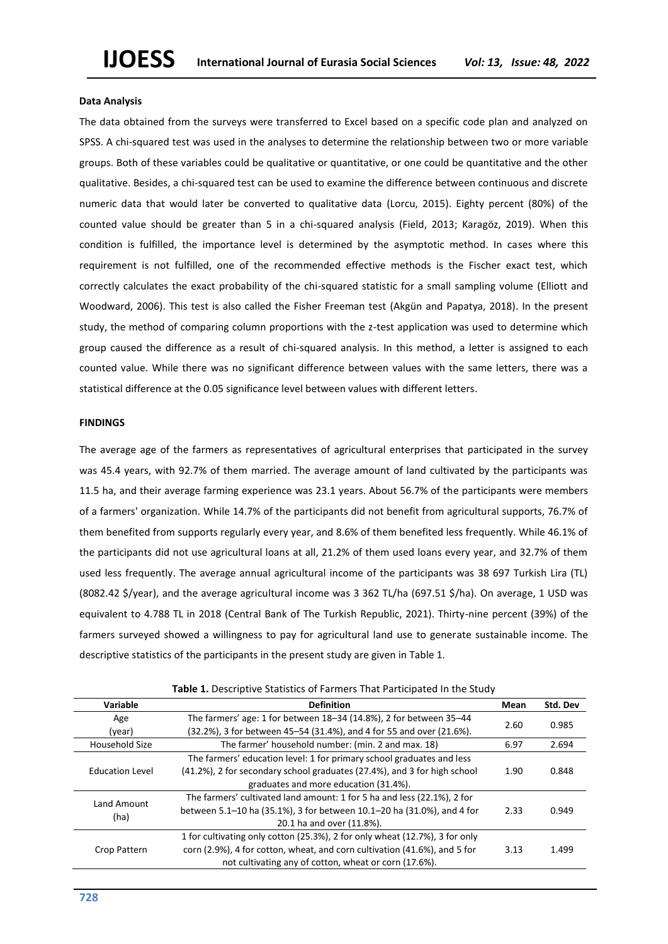#### **Data Analysis**

The data obtained from the surveys were transferred to Excel based on a specific code plan and analyzed on SPSS. A chi-squared test was used in the analyses to determine the relationship between two or more variable groups. Both of these variables could be qualitative or quantitative, or one could be quantitative and the other qualitative. Besides, a chi-squared test can be used to examine the difference between continuous and discrete numeric data that would later be converted to qualitative data (Lorcu, 2015). Eighty percent (80%) of the counted value should be greater than 5 in a chi-squared analysis (Field, 2013; Karagöz, 2019). When this condition is fulfilled, the importance level is determined by the asymptotic method. In cases where this requirement is not fulfilled, one of the recommended effective methods is the Fischer exact test, which correctly calculates the exact probability of the chi-squared statistic for a small sampling volume (Elliott and Woodward, 2006). This test is also called the Fisher Freeman test (Akgün and Papatya, 2018). In the present study, the method of comparing column proportions with the z-test application was used to determine which group caused the difference as a result of chi-squared analysis. In this method, a letter is assigned to each counted value. While there was no significant difference between values with the same letters, there was a statistical difference at the 0.05 significance level between values with different letters.

### **FINDINGS**

The average age of the farmers as representatives of agricultural enterprises that participated in the survey was 45.4 years, with 92.7% of them married. The average amount of land cultivated by the participants was 11.5 ha, and their average farming experience was 23.1 years. About 56.7% of the participants were members of a farmers' organization. While 14.7% of the participants did not benefit from agricultural supports, 76.7% of them benefited from supports regularly every year, and 8.6% of them benefited less frequently. While 46.1% of the participants did not use agricultural loans at all, 21.2% of them used loans every year, and 32.7% of them used less frequently. The average annual agricultural income of the participants was 38 697 Turkish Lira (TL) (8082.42 \$/year), and the average agricultural income was 3 362 TL/ha (697.51 \$/ha). On average, 1 USD was equivalent to 4.788 TL in 2018 (Central Bank of The Turkish Republic, 2021). Thirty-nine percent (39%) of the farmers surveyed showed a willingness to pay for agricultural land use to generate sustainable income. The descriptive statistics of the participants in the present study are given in Table 1.

|                        | <b>Table 1.</b> Descriptive Statistics Of Farmers That Farticipated in the Study |      |          |  |
|------------------------|----------------------------------------------------------------------------------|------|----------|--|
| Variable               | <b>Definition</b>                                                                | Mean | Std. Dev |  |
| Age                    | The farmers' age: 1 for between 18-34 (14.8%), 2 for between 35-44               | 2.60 | 0.985    |  |
| (year)                 | (32.2%), 3 for between 45–54 (31.4%), and 4 for 55 and over (21.6%).             |      |          |  |
| Household Size         | The farmer' household number: (min. 2 and max. 18)                               | 6.97 | 2.694    |  |
|                        | The farmers' education level: 1 for primary school graduates and less            |      |          |  |
| <b>Education Level</b> | (41.2%), 2 for secondary school graduates (27.4%), and 3 for high school         | 1.90 | 0.848    |  |
|                        | graduates and more education (31.4%).                                            |      |          |  |
| Land Amount            | The farmers' cultivated land amount: 1 for 5 ha and less (22.1%), 2 for          |      |          |  |
| (ha)                   | between 5.1-10 ha (35.1%), 3 for between 10.1-20 ha (31.0%), and 4 for           | 2.33 | 0.949    |  |
|                        | 20.1 ha and over (11.8%).                                                        |      |          |  |
|                        | 1 for cultivating only cotton (25.3%), 2 for only wheat (12.7%), 3 for only      |      |          |  |
| Crop Pattern           | corn (2.9%), 4 for cotton, wheat, and corn cultivation (41.6%), and 5 for        | 3.13 | 1.499    |  |
|                        | not cultivating any of cotton, wheat or corn (17.6%).                            |      |          |  |

**Table 1.** Descriptive Statistics of Farmers That Participated In the Study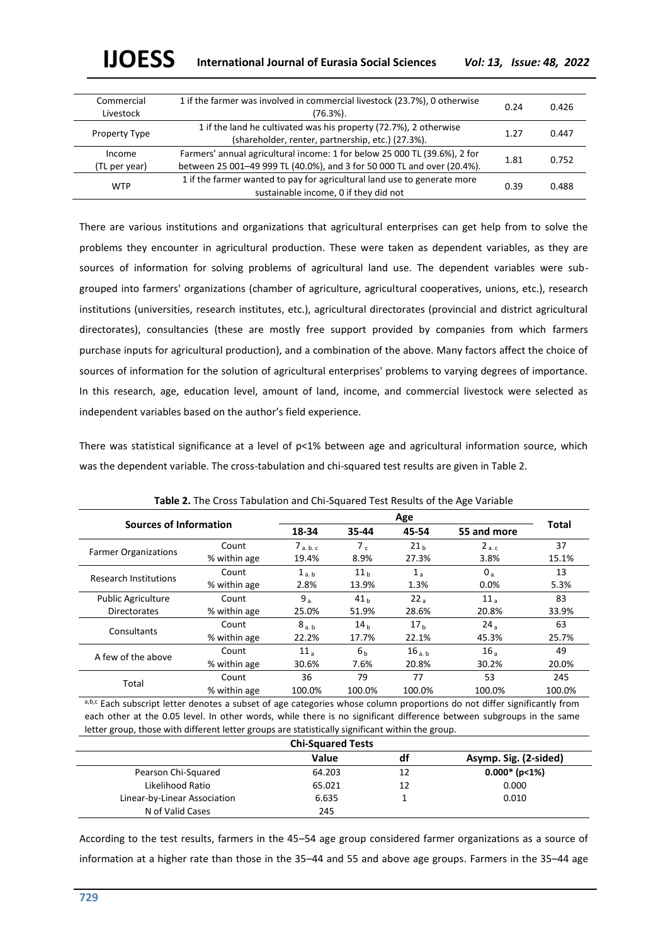| Commercial<br>Livestock | 1 if the farmer was involved in commercial livestock (23.7%), 0 otherwise<br>$(76.3\%)$ .                                                            | 0.24 | 0.426 |
|-------------------------|------------------------------------------------------------------------------------------------------------------------------------------------------|------|-------|
| Property Type           | 1 if the land he cultivated was his property (72.7%), 2 otherwise<br>(shareholder, renter, partnership, etc.) (27.3%).                               | 1.27 | 0.447 |
| Income<br>(TL per year) | Farmers' annual agricultural income: 1 for below 25 000 TL (39.6%), 2 for<br>between 25 001-49 999 TL (40.0%), and 3 for 50 000 TL and over (20.4%). | 1.81 | 0.752 |
| <b>WTP</b>              | 1 if the farmer wanted to pay for agricultural land use to generate more<br>sustainable income, 0 if they did not                                    | 0.39 | 0.488 |

There are various institutions and organizations that agricultural enterprises can get help from to solve the problems they encounter in agricultural production. These were taken as dependent variables, as they are sources of information for solving problems of agricultural land use. The dependent variables were subgrouped into farmers' organizations (chamber of agriculture, agricultural cooperatives, unions, etc.), research institutions (universities, research institutes, etc.), agricultural directorates (provincial and district agricultural directorates), consultancies (these are mostly free support provided by companies from which farmers purchase inputs for agricultural production), and a combination of the above. Many factors affect the choice of sources of information for the solution of agricultural enterprises' problems to varying degrees of importance. In this research, age, education level, amount of land, income, and commercial livestock were selected as independent variables based on the author's field experience.

There was statistical significance at a level of p<1% between age and agricultural information source, which was the dependent variable. The cross-tabulation and chi-squared test results are given in Table 2.

| Sources of Information       |              |                         |                 |                   |                 |              |
|------------------------------|--------------|-------------------------|-----------------|-------------------|-----------------|--------------|
|                              |              | 45-54<br>18-34<br>35-44 |                 |                   | 55 and more     | <b>Total</b> |
|                              | Count        | 7 <sub>a, b, c</sub>    | 7 <sub>c</sub>  | 21 <sub>h</sub>   | 2a.c            | 37           |
| <b>Farmer Organizations</b>  | % within age | 19.4%                   | 8.9%            | 27.3%             | 3.8%            | 15.1%        |
| <b>Research Institutions</b> | Count        | 1 <sub>a,b</sub>        | 11 <sub>h</sub> | $1_a$             | 0 <sub>a</sub>  | 13           |
|                              | % within age | 2.8%                    | 13.9%           | 1.3%              | $0.0\%$         | 5.3%         |
| <b>Public Agriculture</b>    | Count        | 9a                      | 41 <sub>h</sub> | 22a               | 11 <sub>a</sub> | 83           |
| <b>Directorates</b>          | % within age | 25.0%                   | 51.9%           | 28.6%             | 20.8%           | 33.9%        |
| Consultants                  | Count        | 8 <sub>a,b</sub>        | 14 <sub>h</sub> | 17 <sub>h</sub>   | 24 <sub>a</sub> | 63           |
|                              | % within age | 22.2%                   | 17.7%           | 22.1%             | 45.3%           | 25.7%        |
| A few of the above           | Count        | 11 <sub>a</sub>         | 6 <sub>h</sub>  | 16 <sub>a,b</sub> | 16 <sub>a</sub> | 49           |
|                              | % within age | 30.6%                   | 7.6%            | 20.8%             | 30.2%           | 20.0%        |
|                              | Count        | 36                      | 79              | 77                | 53              | 245          |
| Total                        | % within age | 100.0%                  | 100.0%          | 100.0%            | 100.0%          | 100.0%       |

**Table 2.** The Cross Tabulation and Chi-Squared Test Results of the Age Variable

a,b,c Each subscript letter denotes a subset of age categories whose column proportions do not differ significantly from each other at the 0.05 level. In other words, while there is no significant difference between subgroups in the same letter group, those with different letter groups are statistically significant within the group.

| <b>Chi-Squared Tests</b>     |        |    |                       |  |  |
|------------------------------|--------|----|-----------------------|--|--|
|                              | Value  | df | Asymp. Sig. (2-sided) |  |  |
| Pearson Chi-Squared          | 64.203 | 12 | $0.000*$ (p<1%)       |  |  |
| Likelihood Ratio             | 65.021 | 12 | 0.000                 |  |  |
| Linear-by-Linear Association | 6.635  |    | 0.010                 |  |  |
| N of Valid Cases             | 245    |    |                       |  |  |

According to the test results, farmers in the 45–54 age group considered farmer organizations as a source of information at a higher rate than those in the 35–44 and 55 and above age groups. Farmers in the 35–44 age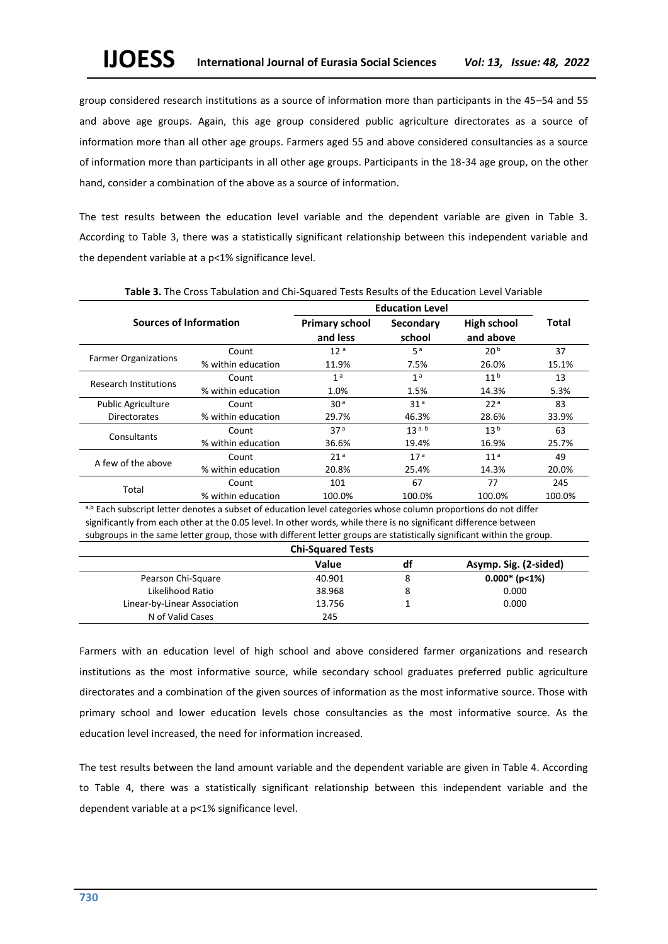group considered research institutions as a source of information more than participants in the 45–54 and 55 and above age groups. Again, this age group considered public agriculture directorates as a source of information more than all other age groups. Farmers aged 55 and above considered consultancies as a source of information more than participants in all other age groups. Participants in the 18-34 age group, on the other hand, consider a combination of the above as a source of information.

The test results between the education level variable and the dependent variable are given in Table 3. According to Table 3, there was a statistically significant relationship between this independent variable and the dependent variable at a p<1% significance level.

|                               |                    | <b>Education Level</b>            |                     |                                 |              |
|-------------------------------|--------------------|-----------------------------------|---------------------|---------------------------------|--------------|
| <b>Sources of Information</b> |                    | <b>Primary school</b><br>and less | Secondary<br>school | <b>High school</b><br>and above | <b>Total</b> |
|                               | Count              | 12 <sup>a</sup>                   | 5 <sup>a</sup>      | 20 <sup>b</sup>                 | 37           |
| <b>Farmer Organizations</b>   | % within education | 11.9%                             | 7.5%                | 26.0%                           | 15.1%        |
| <b>Research Institutions</b>  | Count              | 1 <sup>a</sup>                    | 1 <sup>a</sup>      | 11 <sup>b</sup>                 | 13           |
|                               | % within education | 1.0%                              | 1.5%                | 14.3%                           | 5.3%         |
| <b>Public Agriculture</b>     | Count              | 30 <sup>a</sup>                   | 31 <sup>a</sup>     | 22 <sup>a</sup>                 | 83           |
| <b>Directorates</b>           | % within education | 29.7%                             | 46.3%               | 28.6%                           | 33.9%        |
|                               | Count              | 37 <sup>a</sup>                   | 13a.b               | 13 <sup>b</sup>                 | 63           |
| Consultants                   | % within education | 36.6%                             | 19.4%               | 16.9%                           | 25.7%        |
|                               | Count              | 21 <sup>a</sup>                   | 17 <sup>a</sup>     | 11 <sup>a</sup>                 | 49           |
| A few of the above            | % within education | 20.8%                             | 25.4%               | 14.3%                           | 20.0%        |
|                               | Count              | 101                               | 67                  | 77                              | 245          |
| Total                         | % within education | 100.0%                            | 100.0%              | 100.0%                          | 100.0%       |

**Table 3.** The Cross Tabulation and Chi-Squared Tests Results of the Education Level Variable

a,b Each subscript letter denotes a subset of education level categories whose column proportions do not differ significantly from each other at the 0.05 level. In other words, while there is no significant difference between subgroups in the same letter group, those with different letter groups are statistically significant within the group.

| <b>Chi-Squared Tests</b>     |        |    |                       |  |  |
|------------------------------|--------|----|-----------------------|--|--|
|                              | Value  | df | Asymp. Sig. (2-sided) |  |  |
| Pearson Chi-Square           | 40.901 |    | $0.000*$ (p<1%)       |  |  |
| Likelihood Ratio             | 38.968 |    | 0.000                 |  |  |
| Linear-by-Linear Association | 13.756 |    | 0.000                 |  |  |
| N of Valid Cases             | 245    |    |                       |  |  |

Farmers with an education level of high school and above considered farmer organizations and research institutions as the most informative source, while secondary school graduates preferred public agriculture directorates and a combination of the given sources of information as the most informative source. Those with primary school and lower education levels chose consultancies as the most informative source. As the education level increased, the need for information increased.

The test results between the land amount variable and the dependent variable are given in Table 4. According to Table 4, there was a statistically significant relationship between this independent variable and the dependent variable at a p<1% significance level.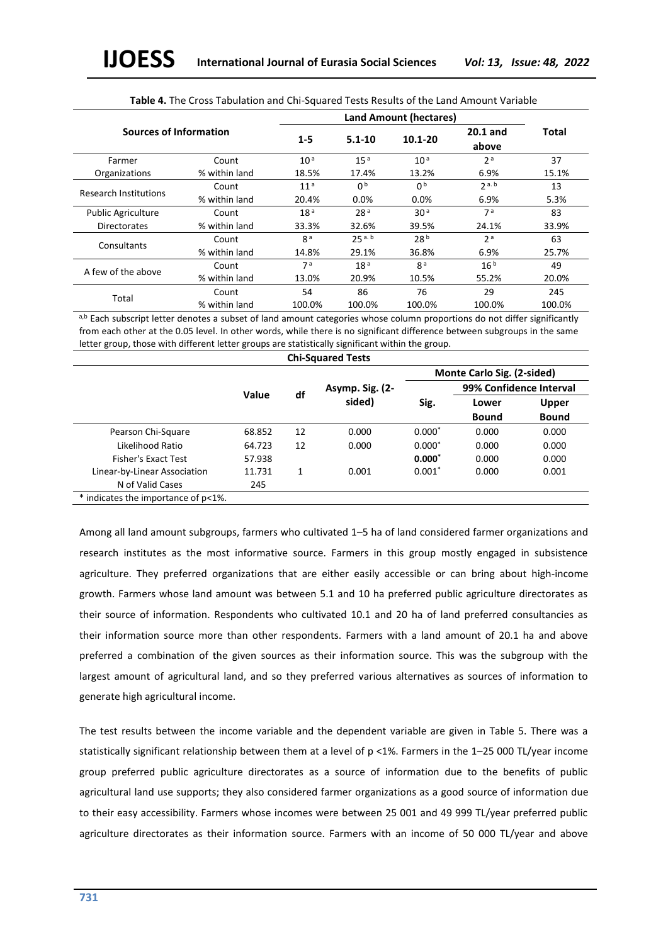|                               |               | <b>Land Amount (hectares)</b> |                 |                 |                     |        |  |
|-------------------------------|---------------|-------------------------------|-----------------|-----------------|---------------------|--------|--|
| <b>Sources of Information</b> |               | $1-5$                         | $5.1 - 10$      | $10.1 - 20$     | $20.1$ and<br>above | Total  |  |
| Farmer                        | Count         | 10 <sup>a</sup>               | 15 <sup>a</sup> | 10 <sup>a</sup> | 2a                  | 37     |  |
| Organizations                 | % within land | 18.5%                         | 17.4%           | 13.2%           | 6.9%                | 15.1%  |  |
| <b>Research Institutions</b>  | Count         | 11 <sup>a</sup>               | n <sub>b</sub>  | n <sub>b</sub>  | 2a.b                | 13     |  |
|                               | % within land | 20.4%                         | 0.0%            | 0.0%            | 6.9%                | 5.3%   |  |
| <b>Public Agriculture</b>     | Count         | 18 <sup>a</sup>               | 28 <sup>a</sup> | 30 <sup>a</sup> | 7 <sup>a</sup>      | 83     |  |
| <b>Directorates</b>           | % within land | 33.3%                         | 32.6%           | 39.5%           | 24.1%               | 33.9%  |  |
| Consultants                   | Count         | g a                           | 25a.b           | 28 <sup>b</sup> | 2 <sup>a</sup>      | 63     |  |
|                               | % within land | 14.8%                         | 29.1%           | 36.8%           | 6.9%                | 25.7%  |  |
| A few of the above            | Count         | 7 <sup>a</sup>                | 18 <sup>a</sup> | g <sup>a</sup>  | 16 <sup>b</sup>     | 49     |  |
|                               | % within land | 13.0%                         | 20.9%           | 10.5%           | 55.2%               | 20.0%  |  |
|                               | Count         | 54                            | 86              | 76              | 29                  | 245    |  |
| Total                         | % within land | 100.0%                        | 100.0%          | 100.0%          | 100.0%              | 100.0% |  |

**Table 4.** The Cross Tabulation and Chi-Squared Tests Results of the Land Amount Variable

a,b Each subscript letter denotes a subset of land amount categories whose column proportions do not differ significantly from each other at the 0.05 level. In other words, while there is no significant difference between subgroups in the same letter group, those with different letter groups are statistically significant within the group.

| <b>Chi-Squared Tests</b>            |        |    |                 |          |                            |              |
|-------------------------------------|--------|----|-----------------|----------|----------------------------|--------------|
|                                     |        |    |                 |          | Monte Carlo Sig. (2-sided) |              |
|                                     | Value  | df | Asymp. Sig. (2- |          | 99% Confidence Interval    |              |
|                                     |        |    | sided)          | Sig.     | Lower                      | Upper        |
|                                     |        |    |                 |          | Bound                      | <b>Bound</b> |
| Pearson Chi-Square                  | 68.852 | 12 | 0.000           | $0.000*$ | 0.000                      | 0.000        |
| Likelihood Ratio                    | 64.723 | 12 | 0.000           | $0.000*$ | 0.000                      | 0.000        |
| Fisher's Exact Test                 | 57.938 |    |                 | $0.000*$ | 0.000                      | 0.000        |
| Linear-by-Linear Association        | 11.731 | 1  | 0.001           | $0.001*$ | 0.000                      | 0.001        |
| N of Valid Cases                    | 245    |    |                 |          |                            |              |
| * indicates the importance of p<1%. |        |    |                 |          |                            |              |

Among all land amount subgroups, farmers who cultivated 1–5 ha of land considered farmer organizations and research institutes as the most informative source. Farmers in this group mostly engaged in subsistence agriculture. They preferred organizations that are either easily accessible or can bring about high-income growth. Farmers whose land amount was between 5.1 and 10 ha preferred public agriculture directorates as their source of information. Respondents who cultivated 10.1 and 20 ha of land preferred consultancies as their information source more than other respondents. Farmers with a land amount of 20.1 ha and above preferred a combination of the given sources as their information source. This was the subgroup with the largest amount of agricultural land, and so they preferred various alternatives as sources of information to generate high agricultural income.

The test results between the income variable and the dependent variable are given in Table 5. There was a statistically significant relationship between them at a level of p <1%. Farmers in the 1–25 000 TL/year income group preferred public agriculture directorates as a source of information due to the benefits of public agricultural land use supports; they also considered farmer organizations as a good source of information due to their easy accessibility. Farmers whose incomes were between 25 001 and 49 999 TL/year preferred public agriculture directorates as their information source. Farmers with an income of 50 000 TL/year and above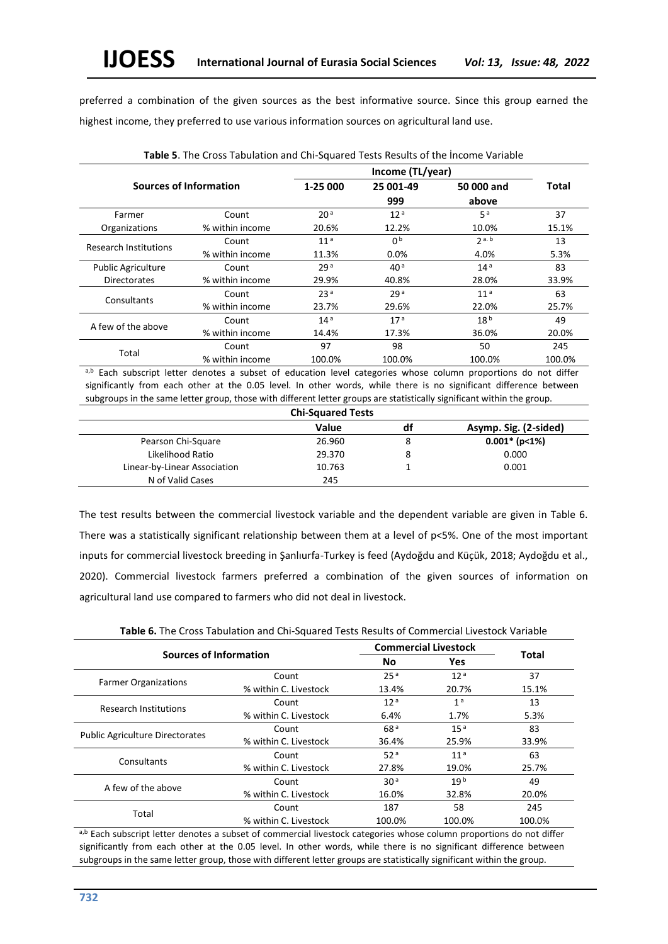preferred a combination of the given sources as the best informative source. Since this group earned the highest income, they preferred to use various information sources on agricultural land use.

|                              |                 | Income (TL/year) |                 |                 |              |  |
|------------------------------|-----------------|------------------|-----------------|-----------------|--------------|--|
| Sources of Information       |                 | 1-25 000         | 25 001-49       | 50 000 and      | <b>Total</b> |  |
|                              |                 |                  | 999             | above           |              |  |
| Farmer                       | Count           | 20 <sup>a</sup>  | 12 <sup>a</sup> | 5a              | 37           |  |
| Organizations                | % within income | 20.6%            | 12.2%           | 10.0%           | 15.1%        |  |
| <b>Research Institutions</b> | Count           | 11 <sup>a</sup>  | 0 <sup>b</sup>  | 2a.b            | 13           |  |
|                              | % within income | 11.3%            | 0.0%            | 4.0%            | 5.3%         |  |
| <b>Public Agriculture</b>    | Count           | 29 <sup>a</sup>  | 40 <sup>a</sup> | 14 <sup>a</sup> | 83           |  |
| <b>Directorates</b>          | % within income | 29.9%            | 40.8%           | 28.0%           | 33.9%        |  |
| Consultants                  | Count           | 23 <sup>a</sup>  | 29a             | 11 <sup>a</sup> | 63           |  |
|                              | % within income | 23.7%            | 29.6%           | 22.0%           | 25.7%        |  |
| A few of the above           | Count           | 14 <sup>a</sup>  | 17 <sup>a</sup> | 18 <sup>b</sup> | 49           |  |
|                              | % within income | 14.4%            | 17.3%           | 36.0%           | 20.0%        |  |
|                              | Count           | 97               | 98              | 50              | 245          |  |
| Total                        | % within income | 100.0%           | 100.0%          | 100.0%          | 100.0%       |  |

**Table 5**. The Cross Tabulation and Chi-Squared Tests Results of the İncome Variable

a,b Each subscript letter denotes a subset of education level categories whose column proportions do not differ significantly from each other at the 0.05 level. In other words, while there is no significant difference between subgroups in the same letter group, those with different letter groups are statistically significant within the group.

| <b>Chi-Squared Tests</b>     |        |    |                       |  |  |
|------------------------------|--------|----|-----------------------|--|--|
|                              | Value  | df | Asymp. Sig. (2-sided) |  |  |
| Pearson Chi-Square           | 26.960 |    | $0.001*$ (p<1%)       |  |  |
| Likelihood Ratio             | 29.370 | 8  | 0.000                 |  |  |
| Linear-by-Linear Association | 10.763 |    | 0.001                 |  |  |
| N of Valid Cases             | 245    |    |                       |  |  |

The test results between the commercial livestock variable and the dependent variable are given in Table 6. There was a statistically significant relationship between them at a level of p<5%. One of the most important inputs for commercial livestock breeding in Şanlıurfa-Turkey is feed (Aydoğdu and Küçük, 2018; Aydoğdu et al., 2020). Commercial livestock farmers preferred a combination of the given sources of information on agricultural land use compared to farmers who did not deal in livestock.

**Table 6.** The Cross Tabulation and Chi-Squared Tests Results of Commercial Livestock Variable

|                                        | <b>Sources of Information</b> |                 | <b>Commercial Livestock</b> |              |
|----------------------------------------|-------------------------------|-----------------|-----------------------------|--------------|
|                                        |                               | <b>No</b>       | <b>Yes</b>                  | <b>Total</b> |
|                                        | Count                         | 25 <sup>a</sup> | 12 <sup>a</sup>             | 37           |
| <b>Farmer Organizations</b>            | % within C. Livestock         | 13.4%           | 20.7%                       | 15.1%        |
|                                        | Count                         | 12 <sup>a</sup> | 1 <sup>a</sup>              | 13           |
| <b>Research Institutions</b>           | % within C. Livestock         | 6.4%            | 1.7%                        | 5.3%         |
|                                        | Count                         | 68 <sup>a</sup> | 15 <sup>a</sup>             | 83           |
| <b>Public Agriculture Directorates</b> | % within C. Livestock         | 36.4%           | 25.9%                       | 33.9%        |
|                                        | Count                         | 52a             | 11 <sup>a</sup>             | 63           |
| Consultants                            | % within C. Livestock         | 27.8%           | 19.0%                       | 25.7%        |
|                                        | Count                         | 30 <sup>a</sup> | 19 <sup>b</sup>             | 49           |
| A few of the above                     | % within C. Livestock         | 16.0%           | 32.8%                       | 20.0%        |
|                                        | Count                         | 187             | 58                          | 245          |
| Total                                  | % within C. Livestock         | 100.0%          | 100.0%                      | 100.0%       |

a,b Each subscript letter denotes a subset of commercial livestock categories whose column proportions do not differ significantly from each other at the 0.05 level. In other words, while there is no significant difference between subgroups in the same letter group, those with different letter groups are statistically significant within the group.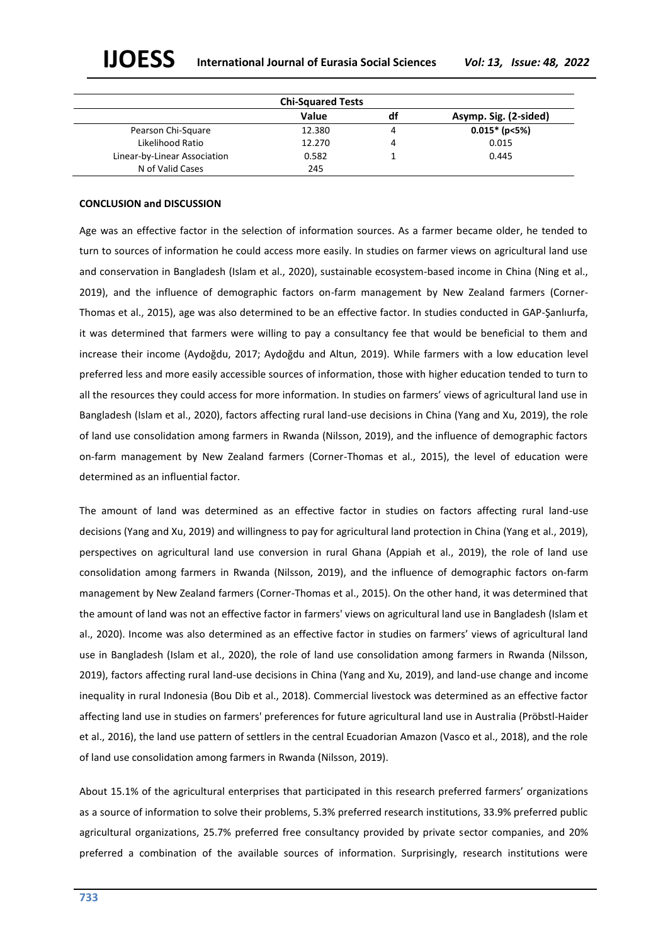| <b>Chi-Squared Tests</b>     |        |    |                       |  |
|------------------------------|--------|----|-----------------------|--|
|                              | Value  | df | Asymp. Sig. (2-sided) |  |
| Pearson Chi-Square           | 12.380 |    | $0.015*$ (p<5%)       |  |
| Likelihood Ratio             | 12.270 |    | 0.015                 |  |
| Linear-by-Linear Association | 0.582  |    | 0.445                 |  |
| N of Valid Cases             | 245    |    |                       |  |

#### **CONCLUSION and DISCUSSION**

Age was an effective factor in the selection of information sources. As a farmer became older, he tended to turn to sources of information he could access more easily. In studies on farmer views on agricultural land use and conservation in Bangladesh (Islam et al., 2020), sustainable ecosystem-based income in China (Ning et al., 2019), and the influence of demographic factors on-farm management by New Zealand farmers (Corner-Thomas et al., 2015), age was also determined to be an effective factor. In studies conducted in GAP-Şanlıurfa, it was determined that farmers were willing to pay a consultancy fee that would be beneficial to them and increase their income (Aydoğdu, 2017; Aydoğdu and Altun, 2019). While farmers with a low education level preferred less and more easily accessible sources of information, those with higher education tended to turn to all the resources they could access for more information. In studies on farmers' views of agricultural land use in Bangladesh (Islam et al., 2020), factors affecting rural land-use decisions in China (Yang and Xu, 2019), the role of land use consolidation among farmers in Rwanda (Nilsson, 2019), and the influence of demographic factors on-farm management by New Zealand farmers (Corner-Thomas et al., 2015), the level of education were determined as an influential factor.

The amount of land was determined as an effective factor in studies on factors affecting rural land-use decisions (Yang and Xu, 2019) and willingness to pay for agricultural land protection in China (Yang et al., 2019), perspectives on agricultural land use conversion in rural Ghana (Appiah et al., 2019), the role of land use consolidation among farmers in Rwanda (Nilsson, 2019), and the influence of demographic factors on-farm management by New Zealand farmers (Corner-Thomas et al., 2015). On the other hand, it was determined that the amount of land was not an effective factor in farmers' views on agricultural land use in Bangladesh (Islam et al., 2020). Income was also determined as an effective factor in studies on farmers' views of agricultural land use in Bangladesh (Islam et al., 2020), the role of land use consolidation among farmers in Rwanda (Nilsson, 2019), factors affecting rural land-use decisions in China (Yang and Xu, 2019), and land-use change and income inequality in rural Indonesia (Bou Dib et al., 2018). Commercial livestock was determined as an effective factor affecting land use in studies on farmers' preferences for future agricultural land use in Australia (Pröbstl-Haider et al., 2016), the land use pattern of settlers in the central Ecuadorian Amazon (Vasco et al., 2018), and the role of land use consolidation among farmers in Rwanda (Nilsson, 2019).

About 15.1% of the agricultural enterprises that participated in this research preferred farmers' organizations as a source of information to solve their problems, 5.3% preferred research institutions, 33.9% preferred public agricultural organizations, 25.7% preferred free consultancy provided by private sector companies, and 20% preferred a combination of the available sources of information. Surprisingly, research institutions were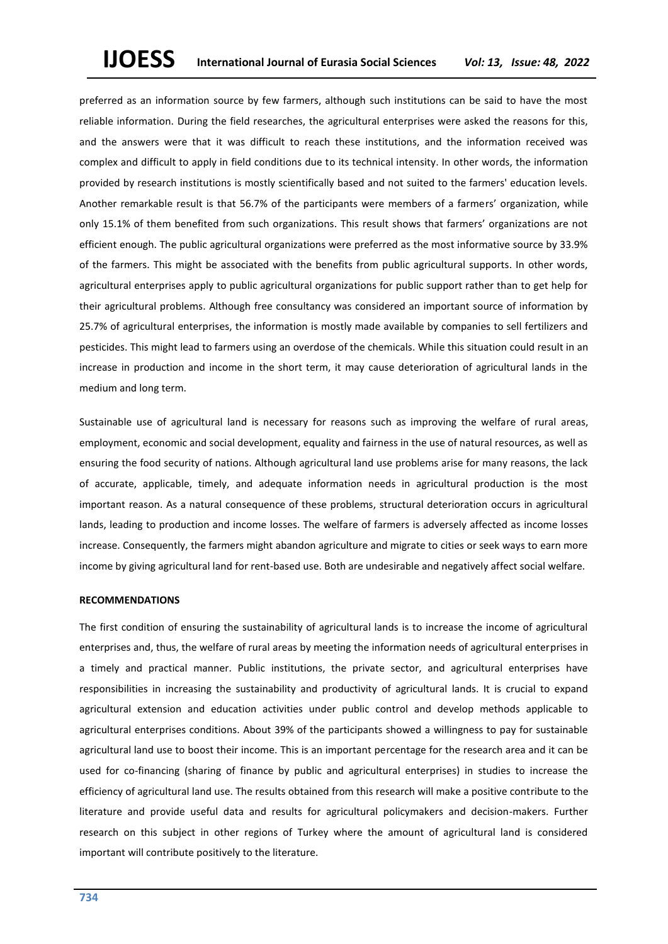preferred as an information source by few farmers, although such institutions can be said to have the most reliable information. During the field researches, the agricultural enterprises were asked the reasons for this, and the answers were that it was difficult to reach these institutions, and the information received was complex and difficult to apply in field conditions due to its technical intensity. In other words, the information provided by research institutions is mostly scientifically based and not suited to the farmers' education levels. Another remarkable result is that 56.7% of the participants were members of a farmers' organization, while only 15.1% of them benefited from such organizations. This result shows that farmers' organizations are not efficient enough. The public agricultural organizations were preferred as the most informative source by 33.9% of the farmers. This might be associated with the benefits from public agricultural supports. In other words, agricultural enterprises apply to public agricultural organizations for public support rather than to get help for their agricultural problems. Although free consultancy was considered an important source of information by 25.7% of agricultural enterprises, the information is mostly made available by companies to sell fertilizers and pesticides. This might lead to farmers using an overdose of the chemicals. While this situation could result in an increase in production and income in the short term, it may cause deterioration of agricultural lands in the medium and long term.

Sustainable use of agricultural land is necessary for reasons such as improving the welfare of rural areas, employment, economic and social development, equality and fairness in the use of natural resources, as well as ensuring the food security of nations. Although agricultural land use problems arise for many reasons, the lack of accurate, applicable, timely, and adequate information needs in agricultural production is the most important reason. As a natural consequence of these problems, structural deterioration occurs in agricultural lands, leading to production and income losses. The welfare of farmers is adversely affected as income losses increase. Consequently, the farmers might abandon agriculture and migrate to cities or seek ways to earn more income by giving agricultural land for rent-based use. Both are undesirable and negatively affect social welfare.

#### **RECOMMENDATIONS**

The first condition of ensuring the sustainability of agricultural lands is to increase the income of agricultural enterprises and, thus, the welfare of rural areas by meeting the information needs of agricultural enterprises in a timely and practical manner. Public institutions, the private sector, and agricultural enterprises have responsibilities in increasing the sustainability and productivity of agricultural lands. It is crucial to expand agricultural extension and education activities under public control and develop methods applicable to agricultural enterprises conditions. About 39% of the participants showed a willingness to pay for sustainable agricultural land use to boost their income. This is an important percentage for the research area and it can be used for co-financing (sharing of finance by public and agricultural enterprises) in studies to increase the efficiency of agricultural land use. The results obtained from this research will make a positive contribute to the literature and provide useful data and results for agricultural policymakers and decision-makers. Further research on this subject in other regions of Turkey where the amount of agricultural land is considered important will contribute positively to the literature.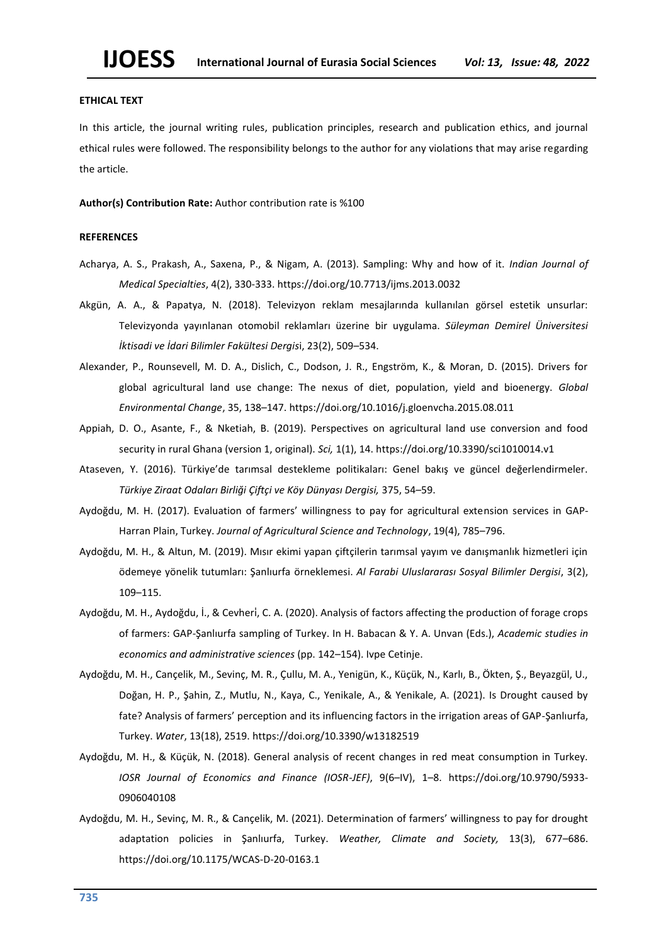#### **ETHICAL TEXT**

In this article, the journal writing rules, publication principles, research and publication ethics, and journal ethical rules were followed. The responsibility belongs to the author for any violations that may arise regarding the article.

**Author(s) Contribution Rate:** Author contribution rate is %100

#### **REFERENCES**

- Acharya, A. S., Prakash, A., Saxena, P., & Nigam, A. (2013). Sampling: Why and how of it. *Indian Journal of Medical Specialties*, 4(2), 330-333. https://doi.org/10.7713/ijms.2013.0032
- Akgün, A. A., & Papatya, N. (2018). Televizyon reklam mesajlarında kullanılan görsel estetik unsurlar: Televizyonda yayınlanan otomobil reklamları üzerine bir uygulama. *Süleyman Demirel Üniversitesi İktisadi ve İdari Bilimler Fakültesi Dergis*i, 23(2), 509–534.
- Alexander, P., Rounsevell, M. D. A., Dislich, C., Dodson, J. R., Engström, K., & Moran, D. (2015). Drivers for global agricultural land use change: The nexus of diet, population, yield and bioenergy. *Global Environmental Change*, 35, 138–147. https://doi.org/10.1016/j.gloenvcha.2015.08.011
- Appiah, D. O., Asante, F., & Nketiah, B. (2019). Perspectives on agricultural land use conversion and food security in rural Ghana (version 1, original). *Sci*, 1(1), 14. https://doi.org/10.3390/sci1010014.v1
- Ataseven, Y. (2016). Türkiye'de tarımsal destekleme politikaları: Genel bakış ve güncel değerlendirmeler. *Türkiye Ziraat Odaları Birliği Çiftçi ve Köy Dünyası Dergisi,* 375, 54–59.
- Aydoğdu, M. H. (2017). Evaluation of farmers' willingness to pay for agricultural extension services in GAP-Harran Plain, Turkey. *Journal of Agricultural Science and Technology*, 19(4), 785–796.
- Aydoğdu, M. H., & Altun, M. (2019). Mısır ekimi yapan çiftçilerin tarımsal yayım ve danışmanlık hizmetleri için ödemeye yönelik tutumları: Şanlıurfa örneklemesi. *Al Farabi Uluslararası Sosyal Bilimler Dergisi*, 3(2), 109–115.
- Aydoğdu, M. H., Aydoğdu, İ., & Cevheri, C. A. (2020). Analysis of factors affecting the production of forage crops of farmers: GAP-Şanlıurfa sampling of Turkey. In H. Babacan & Y. A. Unvan (Eds.), *Academic studies in economics and administrative sciences* (pp. 142–154). Ivpe Cetinje.
- Aydoğdu, M. H., Cançelik, M., Sevinç, M. R., Çullu, M. A., Yenigün, K., Küçük, N., Karlı, B., Ökten, Ş., Beyazgül, U., Doğan, H. P., Şahin, Z., Mutlu, N., Kaya, C., Yenikale, A., & Yenikale, A. (2021). Is Drought caused by fate? Analysis of farmers' perception and its influencing factors in the irrigation areas of GAP-Şanlıurfa, Turkey. *Water*, 13(18), 2519. https://doi.org/10.3390/w13182519
- Aydoğdu, M. H., & Küçük, N. (2018). General analysis of recent changes in red meat consumption in Turkey. *IOSR Journal of Economics and Finance (IOSR-JEF)*, 9(6–IV), 1–8. https://doi.org/10.9790/5933- 0906040108
- Aydoğdu, M. H., Sevinç, M. R., & Cançelik, M. (2021). Determination of farmers' willingness to pay for drought adaptation policies in Şanlıurfa, Turkey. *Weather, Climate and Society,* 13(3), 677–686. https://doi.org/10.1175/WCAS-D-20-0163.1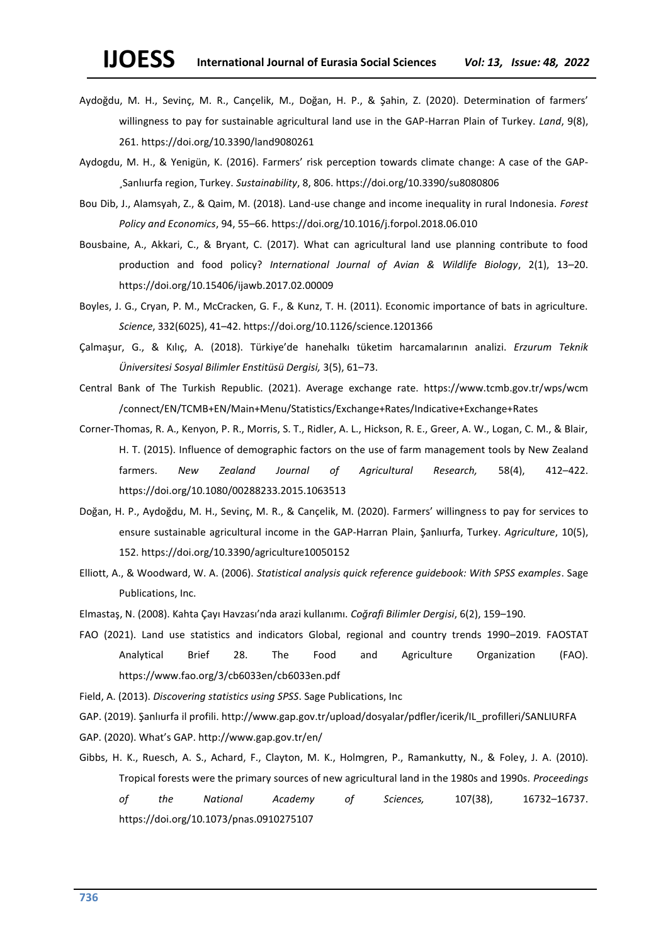- Aydoğdu, M. H., Sevinç, M. R., Cançelik, M., Doğan, H. P., & Şahin, Z. (2020). Determination of farmers' willingness to pay for sustainable agricultural land use in the GAP-Harran Plain of Turkey. *Land*, 9(8), 261. https://doi.org/10.3390/land9080261
- Aydogdu, M. H., & Yenigün, K. (2016). Farmers' risk perception towards climate change: A case of the GAP- ¸Sanlıurfa region, Turkey. *Sustainability*, 8, 806. https://doi.org/10.3390/su8080806
- Bou Dib, J., Alamsyah, Z., & Qaim, M. (2018). Land-use change and income inequality in rural Indonesia. *Forest Policy and Economics*, 94, 55–66. https://doi.org/10.1016/j.forpol.2018.06.010
- Bousbaine, A., Akkari, C., & Bryant, C. (2017). What can agricultural land use planning contribute to food production and food policy? *International Journal of Avian & Wildlife Biology*, 2(1), 13–20. https://doi.org/10.15406/ijawb.2017.02.00009
- Boyles, J. G., Cryan, P. M., McCracken, G. F., & Kunz, T. H. (2011). Economic importance of bats in agriculture. *Science*, 332(6025), 41–42. https://doi.org/10.1126/science.1201366
- Çalmaşur, G., & Kılıç, A. (2018). Türkiye'de hanehalkı tüketim harcamalarının analizi. *Erzurum Teknik Üniversitesi Sosyal Bilimler Enstitüsü Dergisi,* 3(5), 61–73.
- Central Bank of The Turkish Republic. (2021). Average exchange rate. https://www.tcmb.gov.tr/wps/wcm /connect/EN/TCMB+EN/Main+Menu/Statistics/Exchange+Rates/Indicative+Exchange+Rates
- Corner-Thomas, R. A., Kenyon, P. R., Morris, S. T., Ridler, A. L., Hickson, R. E., Greer, A. W., Logan, C. M., & Blair, H. T. (2015). Influence of demographic factors on the use of farm management tools by New Zealand farmers. *New Zealand Journal of Agricultural Research,* 58(4), 412–422. https://doi.org/10.1080/00288233.2015.1063513
- Doğan, H. P., Aydoğdu, M. H., Sevinç, M. R., & Cançelik, M. (2020). Farmers' willingness to pay for services to ensure sustainable agricultural income in the GAP-Harran Plain, Şanlıurfa, Turkey. *Agriculture*, 10(5), 152. https://doi.org/10.3390/agriculture10050152
- Elliott, A., & Woodward, W. A. (2006). *Statistical analysis quick reference guidebook: With SPSS examples*. Sage Publications, Inc.
- Elmastaş, N. (2008). Kahta Çayı Havzası'nda arazi kullanımı. *Coğrafi Bilimler Dergisi*, 6(2), 159–190.
- FAO (2021). Land use statistics and indicators Global, regional and country trends 1990–2019. FAOSTAT Analytical Brief 28. The Food and Agriculture Organization (FAO). https://www.fao.org/3/cb6033en/cb6033en.pdf

Field, A. (2013). *Discovering statistics using SPSS*. Sage Publications, Inc

GAP. (2019). Şanlıurfa il profili. http://www.gap.gov.tr/upload/dosyalar/pdfler/icerik/IL\_profilleri/SANLIURFA

- GAP. (2020). What's GAP. http://www.gap.gov.tr/en/
- Gibbs, H. K., Ruesch, A. S., Achard, F., Clayton, M. K., Holmgren, P., Ramankutty, N., & Foley, J. A. (2010). Tropical forests were the primary sources of new agricultural land in the 1980s and 1990s. *Proceedings of the National Academy of Sciences,* 107(38), 16732–16737. https://doi.org/10.1073/pnas.0910275107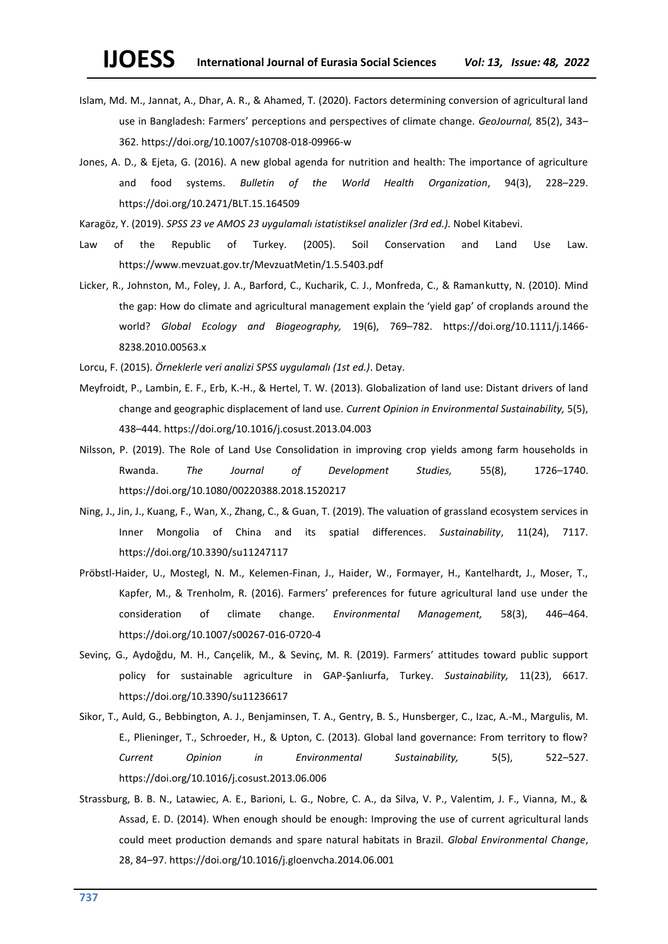- Islam, Md. M., Jannat, A., Dhar, A. R., & Ahamed, T. (2020). Factors determining conversion of agricultural land use in Bangladesh: Farmers' perceptions and perspectives of climate change. *GeoJournal,* 85(2), 343– 362. https://doi.org/10.1007/s10708-018-09966-w
- Jones, A. D., & Ejeta, G. (2016). A new global agenda for nutrition and health: The importance of agriculture and food systems. *Bulletin of the World Health Organization*, 94(3), 228–229. https://doi.org/10.2471/BLT.15.164509
- Karagöz, Y. (2019). *SPSS 23 ve AMOS 23 uygulamalı istatistiksel analizler (3rd ed.).* Nobel Kitabevi.
- Law of the Republic of Turkey. (2005). Soil Conservation and Land Use Law. https://www.mevzuat.gov.tr/MevzuatMetin/1.5.5403.pdf
- Licker, R., Johnston, M., Foley, J. A., Barford, C., Kucharik, C. J., Monfreda, C., & Ramankutty, N. (2010). Mind the gap: How do climate and agricultural management explain the 'yield gap' of croplands around the world? *Global Ecology and Biogeography,* 19(6), 769–782. https://doi.org/10.1111/j.1466- 8238.2010.00563.x
- Lorcu, F. (2015). *Örneklerle veri analizi SPSS uygulamalı (1st ed.)*. Detay.
- Meyfroidt, P., Lambin, E. F., Erb, K.-H., & Hertel, T. W. (2013). Globalization of land use: Distant drivers of land change and geographic displacement of land use. *Current Opinion in Environmental Sustainability,* 5(5), 438–444. https://doi.org/10.1016/j.cosust.2013.04.003
- Nilsson, P. (2019). The Role of Land Use Consolidation in improving crop yields among farm households in Rwanda. *The Journal of Development Studies,* 55(8), 1726–1740. https://doi.org/10.1080/00220388.2018.1520217
- Ning, J., Jin, J., Kuang, F., Wan, X., Zhang, C., & Guan, T. (2019). The valuation of grassland ecosystem services in Inner Mongolia of China and its spatial differences. *Sustainability*, 11(24), 7117. https://doi.org/10.3390/su11247117
- Pröbstl-Haider, U., Mostegl, N. M., Kelemen-Finan, J., Haider, W., Formayer, H., Kantelhardt, J., Moser, T., Kapfer, M., & Trenholm, R. (2016). Farmers' preferences for future agricultural land use under the consideration of climate change. *Environmental Management,* 58(3), 446–464. https://doi.org/10.1007/s00267-016-0720-4
- Sevinç, G., Aydoğdu, M. H., Cançelik, M., & Sevinç, M. R. (2019). Farmers' attitudes toward public support policy for sustainable agriculture in GAP-Şanlıurfa, Turkey. *Sustainability,* 11(23), 6617. https://doi.org/10.3390/su11236617
- Sikor, T., Auld, G., Bebbington, A. J., Benjaminsen, T. A., Gentry, B. S., Hunsberger, C., Izac, A.-M., Margulis, M. E., Plieninger, T., Schroeder, H., & Upton, C. (2013). Global land governance: From territory to flow? *Current Opinion in Environmental Sustainability,* 5(5), 522–527. https://doi.org/10.1016/j.cosust.2013.06.006
- Strassburg, B. B. N., Latawiec, A. E., Barioni, L. G., Nobre, C. A., da Silva, V. P., Valentim, J. F., Vianna, M., & Assad, E. D. (2014). When enough should be enough: Improving the use of current agricultural lands could meet production demands and spare natural habitats in Brazil. *Global Environmental Change*, 28, 84–97. https://doi.org/10.1016/j.gloenvcha.2014.06.001